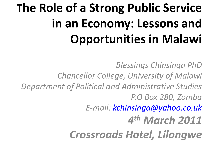# **The Role of a Strong Public Service in an Economy: Lessons and Opportunities in Malawi**

*Blessings Chinsinga PhD Chancellor College, University of Malawi Department of Political and Administrative Studies P.O Box 280, Zomba E-mail: [kchinsinga@yahoo.co.uk](mailto:kchinsinga@yahoo.co.uk) 4 th March 2011 Crossroads Hotel, Lilongwe*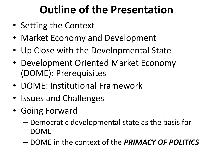# **Outline of the Presentation**

- Setting the Context
- Market Economy and Development
- Up Close with the Developmental State
- Development Oriented Market Economy (DOME): Prerequisites
- DOME: Institutional Framework
- Issues and Challenges
- Going Forward
	- Democratic developmental state as the basis for DOME
	- DOME in the context of the *PRIMACY OF POLITICS*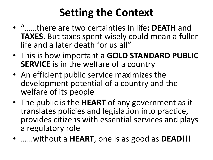# **Setting the Context**

- "……there are two certainties in life**: DEATH** and **TAXES**. But taxes spent wisely could mean a fuller life and a later death for us all"
- This is how important a **GOLD STANDARD PUBLIC SERVICE** is in the welfare of a country
- An efficient public service maximizes the development potential of a country and the welfare of its people
- The public is the **HEART** of any government as it translates policies and legislation into practice, provides citizens with essential services and plays a regulatory role
- ……without a **HEART**, one is as good as **DEAD!!!**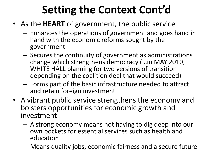# **Setting the Context Cont'd**

- As the **HEART** of government, the public service
	- Enhances the operations of government and goes hand in hand with the economic reforms sought by the government
	- Secures the continuity of government as administrations change which strengthens democracy (…in MAY 2010, WHITE HALL planning for two versions of transition depending on the coalition deal that would succeed)
	- Forms part of the basic infrastructure needed to attract and retain foreign investment
- A vibrant public service strengthens the economy and bolsters opportunities for economic growth and investment
	- A strong economy means not having to dig deep into our own pockets for essential services such as health and education
	- Means quality jobs, economic fairness and a secure future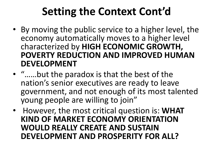# **Setting the Context Cont'd**

- By moving the public service to a higher level, the economy automatically moves to a higher level characterized by **HIGH ECONOMIC GROWTH, POVERTY REDUCTION AND IMPROVED HUMAN DEVELOPMENT**
- "……but the paradox is that the best of the nation's senior executives are ready to leave government, and not enough of its most talented young people are willing to join"
- However, the most critical question is: **WHAT KIND OF MARKET ECONOMY ORIENTATION WOULD REALLY CREATE AND SUSTAIN DEVELOPMENT AND PROSPERITY FOR ALL?**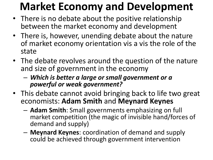# **Market Economy and Development**

- There is no debate about the positive relationship between the market economy and development
- There is, however, unending debate about the nature of market economy orientation vis a vis the role of the state
- The debate revolves around the question of the nature and size of government in the economy
	- *Which is better a large or small government or a powerful or weak government?*
- This debate cannot avoid bringing back to life two great economists: **Adam Smith** and **Meynard Keynes** 
	- **Adam Smith**: Small governments emphasizing on full market competition (the magic of invisible hand/forces of demand and supply)
	- **Meynard Keynes**: coordination of demand and supply could be achieved through government intervention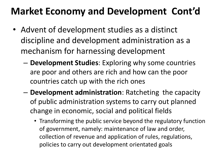## **Market Economy and Development Cont'd**

- Advent of development studies as a distinct discipline and development administration as a mechanism for harnessing development
	- **Development Studies**: Exploring why some countries are poor and others are rich and how can the poor countries catch up with the rich ones
	- **Development administration**: Ratcheting the capacity of public administration systems to carry out planned change in economic, social and political fields
		- Transforming the public service beyond the regulatory function of government, namely: maintenance of law and order, collection of revenue and application of rules, regulations, policies to carry out development orientated goals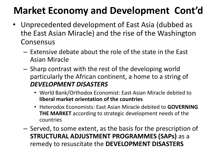## **Market Economy and Development Cont'd**

- Unprecedented development of East Asia (dubbed as the East Asian Miracle) and the rise of the Washington Consensus
	- Extensive debate about the role of the state in the East Asian Miracle
	- Sharp contrast with the rest of the developing world particularly the African continent, a home to a string of *DEVELOPMENT DISASTERS*
		- World Bank/Orthodox Economist: East Asian Miracle debited to **liberal market orientation of the countries**
		- Heterodox Economists: East Asian Miracle debited to **GOVERNING THE MARKET** according to strategic development needs of the countries
	- Served, to some extent, as the basis for the prescription of **STRUCTURAL ADJUSTMENT PROGRAMMES (SAPs)** as a remedy to resuscitate the **DEVELOPMENT DISASTERS**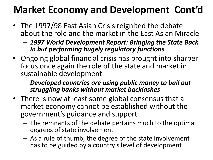## **Market Economy and Development Cont'd**

- The 1997/98 East Asian Crisis reignited the debate about the role and the market in the East Asian Miracle
	- *1997 World Development Report: Bringing the State Back In but performing hugely regulatory functions*
- Ongoing global financial crisis has brought into sharper focus once again the role of the state and market in sustainable development
	- *Developed countries are using public money to bail out struggling banks without market backlashes*
- There is now at least some global consensus that a market economy cannot be established without the government's guidance and support
	- The remnants of the debate pertains much to the optimal degrees of state involvement
	- As a rule of thumb, the degree of the state involvement has to be guided by a country's level of development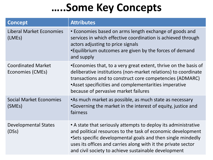## **…..Some Key Concepts**

| <b>Concept</b>                                | <b>Attributes</b>                                                                                                                                                                                                                                                                                                     |
|-----------------------------------------------|-----------------------------------------------------------------------------------------------------------------------------------------------------------------------------------------------------------------------------------------------------------------------------------------------------------------------|
| <b>Liberal Market Economies</b><br>(LMEs)     | • Economies based on arms length exchange of goods and<br>services in which effective coordination is achieved through<br>actors adjusting to price signals<br>•Equilibrium outcomes are given by the forces of demand<br>and supply                                                                                  |
| <b>Coordinated Market</b><br>Economies (CMEs) | •Economies that, to a very great extent, thrive on the basis of<br>deliberative institutions (non-market relations) to coordinate<br>transactions and to construct core competencies (ADMARC)<br>• Asset specificities and complementarities imperative<br>because of pervasive market failures                       |
| <b>Social Market Economies</b><br>(SMEs)      | •As much market as possible, as much state as necessary<br>•Governing the market in the interest of equity, justice and<br>fairness                                                                                                                                                                                   |
| <b>Developmental States</b><br>(DSS)          | • A state that seriously attempts to deploy its administrative<br>and political resources to the task of economic development<br>•Sets specific developmental goals and then single mindedly<br>uses its offices and carries along with it the private sector<br>and civil society to achieve sustainable development |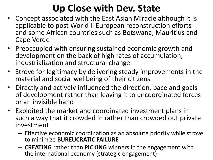## **Up Close with Dev. State**

- Concept associated with the East Asian Miracle although it is applicable to post World II European reconstruction efforts and some African countries such as Botswana, Mauritius and Cape Verde
- Preoccupied with ensuring sustained economic growth and development on the back of high rates of accumulation, industrialization and structural change
- Strove for legitimacy by delivering steady improvements in the material and social wellbeing of their citizens
- Directly and actively influenced the direction, pace and goals of development rather than leaving it to uncoordinated forces or an invisible hand
- Exploited the market and coordinated investment plans in such a way that it crowded in rather than crowded out private investment
	- Effective economic coordination as an absolute priority while strove to minimize **BUREUCRATIC FAILURE**
	- **CREATING** rather than **PICKING** winners in the engagement with the international economy (strategic engagement)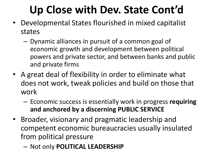# **Up Close with Dev. State Cont'd**

- Developmental States flourished in mixed capitalist states
	- Dynamic alliances in pursuit of a common goal of economic growth and development between political powers and private sector, and between banks and public and private firms
- A great deal of flexibility in order to eliminate what does not work, tweak policies and build on those that work
	- Economic success is essentially work in progress **requiring and anchored by a discerning PUBLIC SERVICE**
- Broader, visionary and pragmatic leadership and competent economic bureaucracies usually insulated from political pressure
	- Not only **POLITICAL LEADERSHIP**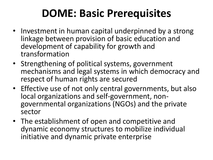# **DOME: Basic Prerequisites**

- Investment in human capital underpinned by a strong linkage between provision of basic education and development of capability for growth and transformation
- Strengthening of political systems, government mechanisms and legal systems in which democracy and respect of human rights are secured
- Effective use of not only central governments, but also local organizations and self-government, nongovernmental organizations (NGOs) and the private sector
- The establishment of open and competitive and dynamic economy structures to mobilize individual initiative and dynamic private enterprise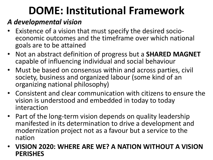# **DOME: Institutional Framework**

#### *A developmental vision*

- Existence of a vision that must specify the desired socioeconomic outcomes and the timeframe over which national goals are to be attained
- Not an abstract definition of progress but a **SHARED MAGNET**  capable of influencing individual and social behaviour
- Must be based on consensus within and across parties, civil society, business and organized labour (some kind of an organizing national philosophy)
- Consistent and clear communication with citizens to ensure the vision is understood and embedded in today to today interaction
- Part of the long-term vision depends on quality leadership manifested in its determination to drive a development and modernization project not as a favour but a service to the nation
- **VISION 2020: WHERE ARE WE? A NATION WITHOUT A VISION PERISHES**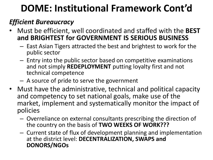#### *Efficient Bureaucracy*

- Must be efficient, well coordinated and staffed with the **BEST and BRIGHTEST for GOVERNMENT IS SERIOUS BUSINESS**
	- East Asian Tigers attracted the best and brightest to work for the public sector
	- Entry into the public sector based on competitive examinations and not simply **REDEPLOYMENT** putting loyalty first and not technical competence
	- A source of pride to serve the government
- Must have the administrative, technical and political capacity and competency to set national goals, make use of the market, implement and systematically monitor the impact of policies
	- Overreliance on external consultants prescribing the direction of the country on the basis of **TWO WEEKS OF WORK???**
	- Current state of flux of development planning and implementation at the district level: **DECENTRALIZATION, SWAPS and DONORS/NGOs**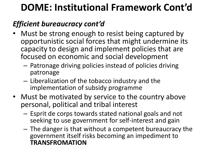#### *Efficient bureaucracy cont'd*

- Must be strong enough to resist being captured by opportunistic social forces that might undermine its capacity to design and implement policies that are focused on economic and social development
	- Patronage driving policies instead of policies driving patronage
	- Liberalization of the tobacco industry and the implementation of subsidy programme
- Must be motivated by service to the country above personal, political and tribal interest
	- Esprit de corps towards stated national goals and not seeking to use government for self-interest and gain
	- The danger is that without a competent bureaucracy the government itself risks becoming an impediment to **TRANSFROMATION**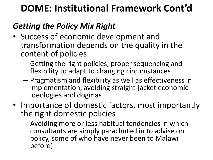#### *Getting the Policy Mix Right*

- Success of economic development and transformation depends on the quality in the content of policies
	- Getting the right policies, proper sequencing and flexibility to adapt to changing circumstances
	- Pragmatism and flexibility as well as effectiveness in implementation, avoiding straight-jacket economic ideologies and dogmas
- Importance of domestic factors, most importantly the right domestic policies
	- Avoiding more or less habitual tendencies in which consultants are simply parachuted in to advise on policy, some of who have never been to Malawi before)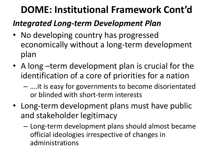#### *Integrated Long-term Development Plan*

- No developing country has progressed economically without a long-term development plan
- A long –term development plan is crucial for the identification of a core of priorities for a nation
	- ….it is easy for governments to become disorientated or blinded with short-term interests
- Long-term development plans must have public and stakeholder legitimacy
	- Long-term development plans should almost became official ideologies irrespective of changes in administrations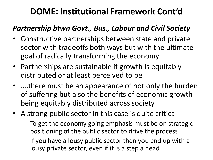#### *Partnership btwn Govt., Bus., Labour and Civil Society*

- Constructive partnerships between state and private sector with tradeoffs both ways but with the ultimate goal of radically transforming the economy
- Partnerships are sustainable if growth is equitably distributed or at least perceived to be
- ….there must be an appearance of not only the burden of suffering but also the benefits of economic growth being equitably distributed across society
- A strong public sector in this case is quite critical
	- To get the economy going emphasis must be on strategic positioning of the public sector to drive the process
	- If you have a lousy public sector then you end up with a lousy private sector, even if it is a step a head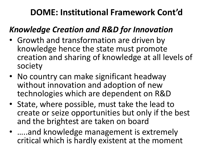#### *Knowledge Creation and R&D for Innovation*

- Growth and transformation are driven by knowledge hence the state must promote creation and sharing of knowledge at all levels of society
- No country can make significant headway without innovation and adoption of new technologies which are dependent on R&D
- State, where possible, must take the lead to create or seize opportunities but only if the best and the brightest are taken on board
- .....and knowledge management is extremely critical which is hardly existent at the moment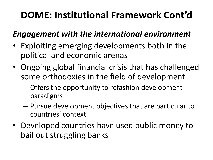#### *Engagement with the international environment*

- Exploiting emerging developments both in the political and economic arenas
- Ongoing global financial crisis that has challenged some orthodoxies in the field of development
	- Offers the opportunity to refashion development paradigms
	- Pursue development objectives that are particular to countries' context
- Developed countries have used public money to bail out struggling banks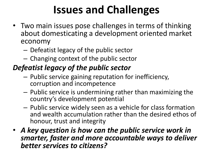# **Issues and Challenges**

- Two main issues pose challenges in terms of thinking about domesticating a development oriented market economy
	- Defeatist legacy of the public sector
	- Changing context of the public sector

#### *Defeatist legacy of the public sector*

- Public service gaining reputation for inefficiency, corruption and incompetence
- Public service is undermining rather than maximizing the country's development potential
- Public service widely seen as a vehicle for class formation and wealth accumulation rather than the desired ethos of honour, trust and integrity
- *A key question is how can the public service work in smarter, faster and more accountable ways to deliver better services to citizens?*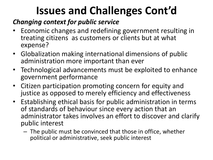# **Issues and Challenges Cont'd**

#### *Changing context for public service*

- Economic changes and redefining government resulting in treating citizens as customers or clients but at what expense?
- Globalization making international dimensions of public administration more important than ever
- Technological advancements must be exploited to enhance government performance
- Citizen participation promoting concern for equity and justice as opposed to merely efficiency and effectiveness
- Establishing ethical basis for public administration in terms of standards of behaviour since every action that an administrator takes involves an effort to discover and clarify public interest
	- The public must be convinced that those in office, whether political or administrative, seek public interest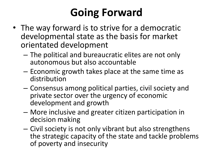# **Going Forward**

- The way forward is to strive for a democratic developmental state as the basis for market orientated development
	- The political and bureaucratic elites are not only autonomous but also accountable
	- Economic growth takes place at the same time as distribution
	- Consensus among political parties, civil society and private sector over the urgency of economic development and growth
	- More inclusive and greater citizen participation in decision making
	- Civil society is not only vibrant but also strengthens the strategic capacity of the state and tackle problems of poverty and insecurity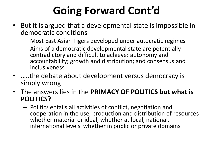# **Going Forward Cont'd**

- But it is argued that a developmental state is impossible in democratic conditions
	- Most East Asian Tigers developed under autocratic regimes
	- Aims of a democratic developmental state are potentially contradictory and difficult to achieve: autonomy and accountability; growth and distribution; and consensus and inclusiveness
- …..the debate about development versus democracy is simply wrong
- The answers lies in the **PRIMACY OF POLITICS but what is POLITICS?**
	- Politics entails all activities of conflict, negotiation and cooperation in the use, production and distribution of resources whether material or ideal, whether at local, national, international levels whether in public or private domains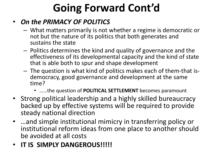# **Going Forward Cont'd**

#### • *On the PRIMACY OF POLITICS*

- What matters primarily is not whether a regime is democratic or not but the nature of its politics that both generates and sustains the state
- Politics determines the kind and quality of governance and the effectiveness of its developmental capacity and the kind of state that is able both to spur and shape development
- The question is what kind of politics makes each of them-that isdemocracy, good governance and development at the same time?
	- ……the question of **POLITICAL SETTLEMENT** becomes paramount
- Strong political leadership and a highly skilled bureaucracy backed up by effective systems will be required to provide steady national direction
- …and simple institutional mimicry in transferring policy or institutional reform ideas from one place to another should be avoided at all costs
- **IT IS SIMPLY DANGEROUS!!!!!**